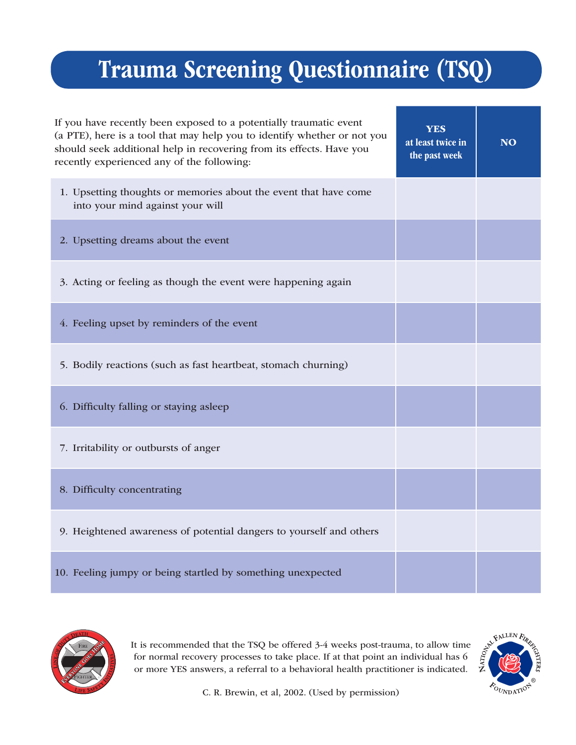## Trauma Screening Questionnaire (TSQ)

| If you have recently been exposed to a potentially traumatic event<br>(a PTE), here is a tool that may help you to identify whether or not you<br>should seek additional help in recovering from its effects. Have you<br>recently experienced any of the following: | YES<br>at least twice in<br>the past week | <b>NO</b> |
|----------------------------------------------------------------------------------------------------------------------------------------------------------------------------------------------------------------------------------------------------------------------|-------------------------------------------|-----------|
| 1. Upsetting thoughts or memories about the event that have come<br>into your mind against your will                                                                                                                                                                 |                                           |           |
| 2. Upsetting dreams about the event                                                                                                                                                                                                                                  |                                           |           |
| 3. Acting or feeling as though the event were happening again                                                                                                                                                                                                        |                                           |           |
| 4. Feeling upset by reminders of the event                                                                                                                                                                                                                           |                                           |           |
| 5. Bodily reactions (such as fast heartbeat, stomach churning)                                                                                                                                                                                                       |                                           |           |
| 6. Difficulty falling or staying asleep                                                                                                                                                                                                                              |                                           |           |
| 7. Irritability or outbursts of anger                                                                                                                                                                                                                                |                                           |           |
| 8. Difficulty concentrating                                                                                                                                                                                                                                          |                                           |           |
| 9. Heightened awareness of potential dangers to yourself and others                                                                                                                                                                                                  |                                           |           |
| 10. Feeling jumpy or being startled by something unexpected                                                                                                                                                                                                          |                                           |           |



It is recommended that the TSQ be offered 3-4 weeks post-trauma, to allow time for normal recovery processes to take place. If at that point an individual  $\frac{1}{2}$ for normal recovery processes to take place. If at that point an individual has 6 or more YES answers, a referral to a behavioral health practitioner is indicated.



C. R. Brewin, et al, 2002. (Used by permission)